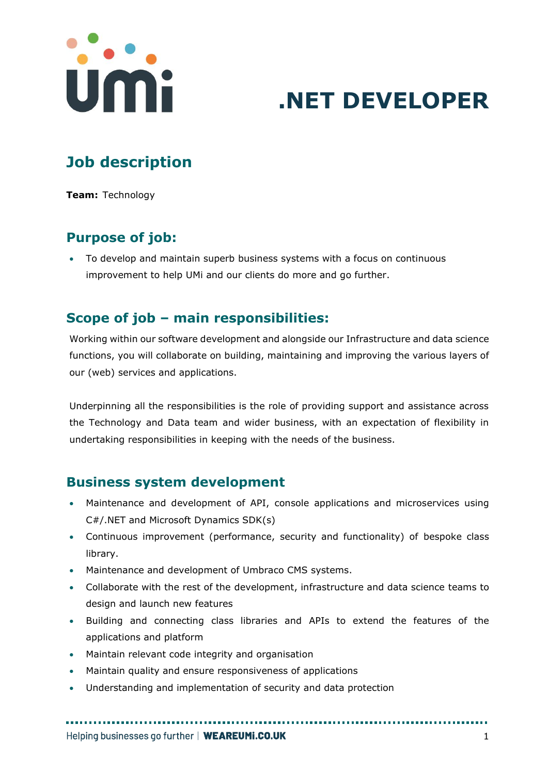

# **.NET DEVELOPER**

# **Job description**

**Team:** Technology

# **Purpose of job:**

• To develop and maintain superb business systems with a focus on continuous improvement to help UMi and our clients do more and go further.

# **Scope of job – main responsibilities:**

Working within our software development and alongside our Infrastructure and data science functions, you will collaborate on building, maintaining and improving the various layers of our (web) services and applications.

Underpinning all the responsibilities is the role of providing support and assistance across the Technology and Data team and wider business, with an expectation of flexibility in undertaking responsibilities in keeping with the needs of the business.

#### **Business system development**

- Maintenance and development of API, console applications and microservices using C#/.NET and Microsoft Dynamics SDK(s)
- Continuous improvement (performance, security and functionality) of bespoke class library.
- Maintenance and development of Umbraco CMS systems.
- Collaborate with the rest of the development, infrastructure and data science teams to design and launch new features
- Building and connecting class libraries and APIs to extend the features of the applications and platform

- Maintain relevant code integrity and organisation
- Maintain quality and ensure responsiveness of applications
- Understanding and implementation of security and data protection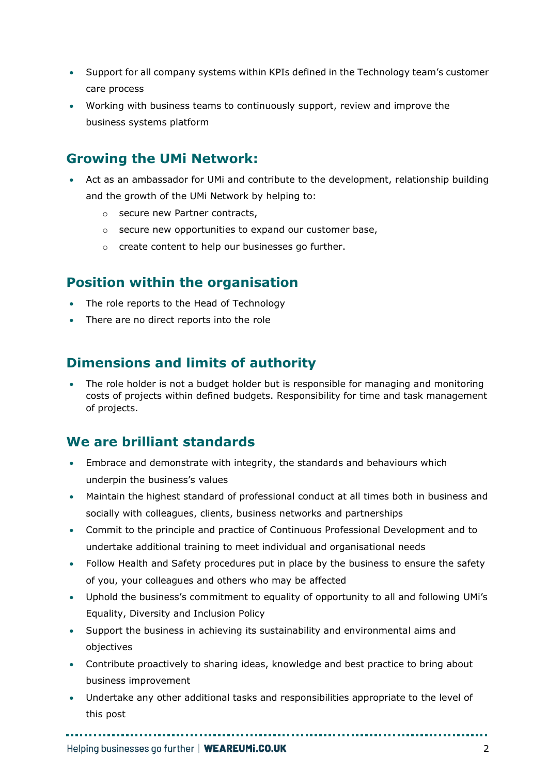- Support for all company systems within KPIs defined in the Technology team's customer care process
- Working with business teams to continuously support, review and improve the business systems platform

#### **Growing the UMi Network:**

- Act as an ambassador for UMi and contribute to the development, relationship building and the growth of the UMi Network by helping to:
	- o secure new Partner contracts,
	- o secure new opportunities to expand our customer base,
	- o create content to help our businesses go further.

#### **Position within the organisation**

- The role reports to the Head of Technology
- There are no direct reports into the role

### **Dimensions and limits of authority**

• The role holder is not a budget holder but is responsible for managing and monitoring costs of projects within defined budgets. Responsibility for time and task management of projects.

### **We are brilliant standards**

- Embrace and demonstrate with integrity, the standards and behaviours which underpin the business's values
- Maintain the highest standard of professional conduct at all times both in business and socially with colleagues, clients, business networks and partnerships
- Commit to the principle and practice of Continuous Professional Development and to undertake additional training to meet individual and organisational needs
- Follow Health and Safety procedures put in place by the business to ensure the safety of you, your colleagues and others who may be affected
- Uphold the business's commitment to equality of opportunity to all and following UMi's Equality, Diversity and Inclusion Policy
- Support the business in achieving its sustainability and environmental aims and objectives
- Contribute proactively to sharing ideas, knowledge and best practice to bring about business improvement
- Undertake any other additional tasks and responsibilities appropriate to the level of this post

Helping businesses go further | WEAREUMI.CO.UK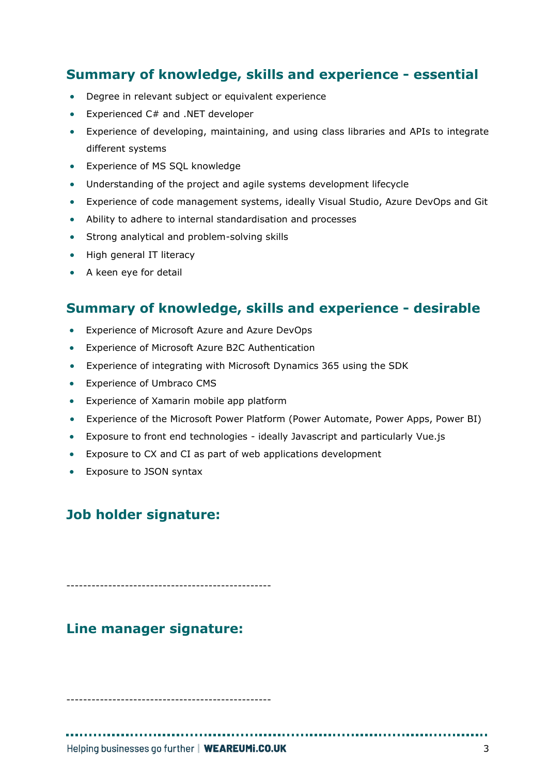## **Summary of knowledge, skills and experience - essential**

- Degree in relevant subject or equivalent experience
- Experienced C# and .NET developer
- Experience of developing, maintaining, and using class libraries and APIs to integrate different systems
- Experience of MS SQL knowledge
- Understanding of the project and agile systems development lifecycle
- Experience of code management systems, ideally Visual Studio, Azure DevOps and Git
- Ability to adhere to internal standardisation and processes
- Strong analytical and problem-solving skills
- High general IT literacy
- A keen eye for detail

#### **Summary of knowledge, skills and experience - desirable**

- Experience of Microsoft Azure and Azure DevOps
- Experience of Microsoft Azure B2C Authentication
- Experience of integrating with Microsoft Dynamics 365 using the SDK
- Experience of Umbraco CMS
- Experience of Xamarin mobile app platform
- Experience of the Microsoft Power Platform (Power Automate, Power Apps, Power BI)
- Exposure to front end technologies ideally Javascript and particularly Vue.js
- Exposure to CX and CI as part of web applications development
- Exposure to JSON syntax

### **Job holder signature:**

-------------------------------------------------

### **Line manager signature:**

-------------------------------------------------